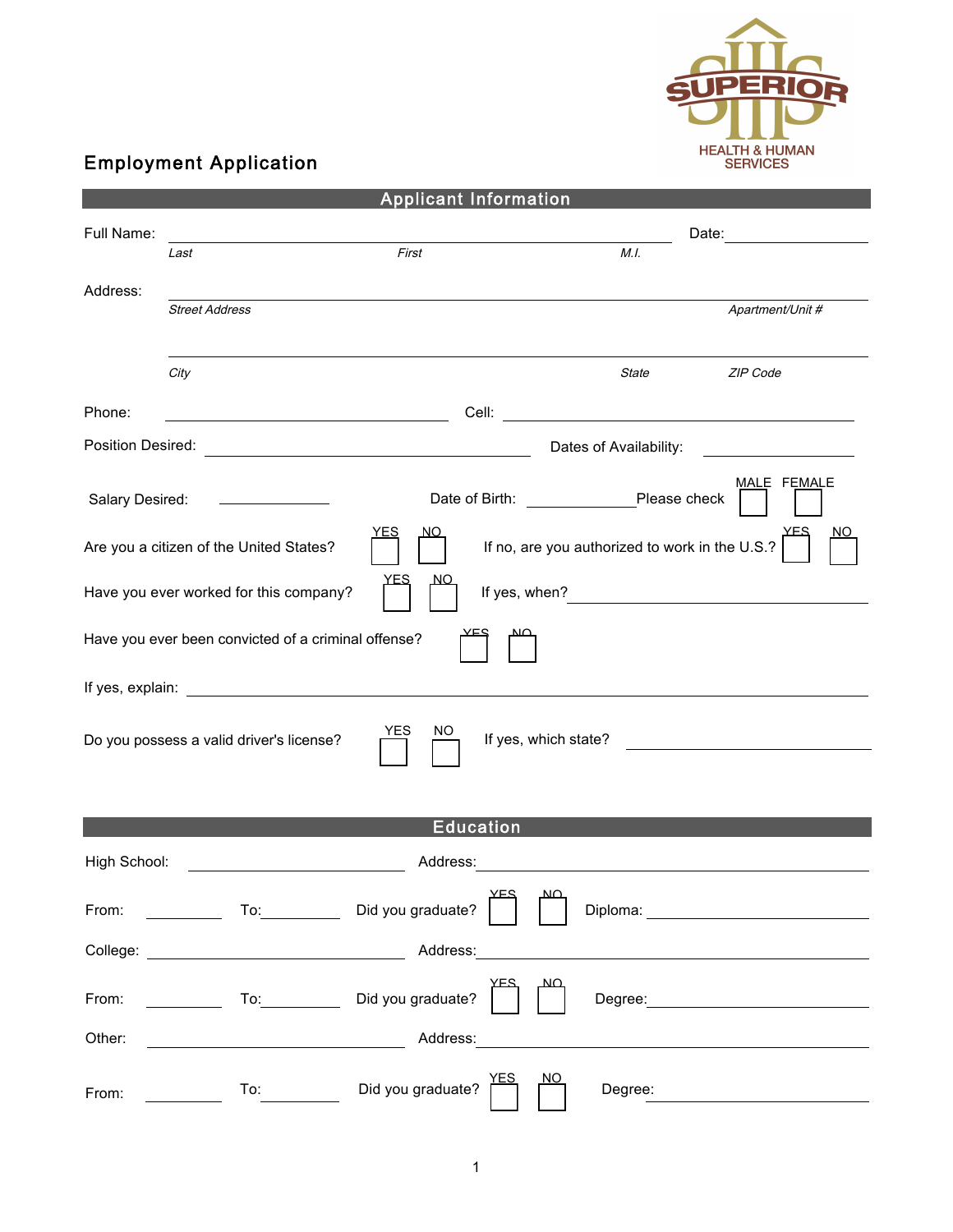

## Employment Application

| <b>Applicant Information</b>                                                                                                                                                                                                   |                                         |                                  |                                                                                                                                                                                                                                |                                                                                                                      |                                                   |  |  |
|--------------------------------------------------------------------------------------------------------------------------------------------------------------------------------------------------------------------------------|-----------------------------------------|----------------------------------|--------------------------------------------------------------------------------------------------------------------------------------------------------------------------------------------------------------------------------|----------------------------------------------------------------------------------------------------------------------|---------------------------------------------------|--|--|
| Full Name:                                                                                                                                                                                                                     |                                         |                                  | Date: the contract of the contract of the contract of the contract of the contract of the contract of the contract of the contract of the contract of the contract of the contract of the contract of the contract of the cont |                                                                                                                      |                                                   |  |  |
|                                                                                                                                                                                                                                | Last                                    | First                            |                                                                                                                                                                                                                                | M.I.                                                                                                                 |                                                   |  |  |
| Address:                                                                                                                                                                                                                       |                                         |                                  |                                                                                                                                                                                                                                |                                                                                                                      |                                                   |  |  |
|                                                                                                                                                                                                                                | <b>Street Address</b>                   |                                  |                                                                                                                                                                                                                                |                                                                                                                      | Apartment/Unit #                                  |  |  |
|                                                                                                                                                                                                                                |                                         |                                  |                                                                                                                                                                                                                                |                                                                                                                      |                                                   |  |  |
|                                                                                                                                                                                                                                | City                                    |                                  |                                                                                                                                                                                                                                | State                                                                                                                | ZIP Code                                          |  |  |
| Phone:                                                                                                                                                                                                                         | <u> 1980 - Johann Barbara, martin a</u> |                                  |                                                                                                                                                                                                                                |                                                                                                                      |                                                   |  |  |
|                                                                                                                                                                                                                                |                                         |                                  |                                                                                                                                                                                                                                | Dates of Availability:                                                                                               |                                                   |  |  |
| Salary Desired:                                                                                                                                                                                                                |                                         |                                  |                                                                                                                                                                                                                                | Date of Birth: Please check                                                                                          | MALE FEMALE                                       |  |  |
| <u>YES</u><br><u>NO</u><br>If no, are you authorized to work in the U.S.?<br>Are you a citizen of the United States?                                                                                                           |                                         |                                  |                                                                                                                                                                                                                                |                                                                                                                      |                                                   |  |  |
| Have you ever worked for this company?                                                                                                                                                                                         |                                         |                                  |                                                                                                                                                                                                                                |                                                                                                                      |                                                   |  |  |
| Have you ever been convicted of a criminal offense?                                                                                                                                                                            |                                         |                                  |                                                                                                                                                                                                                                |                                                                                                                      |                                                   |  |  |
|                                                                                                                                                                                                                                |                                         |                                  |                                                                                                                                                                                                                                |                                                                                                                      |                                                   |  |  |
| NΟ<br>If yes, which state?<br>Do you possess a valid driver's license?<br><u> 1989 - Jan Stein Stein Stein Stein Stein Stein Stein Stein Stein Stein Stein Stein Stein Stein Stein Stein S</u>                                 |                                         |                                  |                                                                                                                                                                                                                                |                                                                                                                      |                                                   |  |  |
|                                                                                                                                                                                                                                |                                         | <b>Education</b>                 |                                                                                                                                                                                                                                |                                                                                                                      |                                                   |  |  |
|                                                                                                                                                                                                                                |                                         |                                  |                                                                                                                                                                                                                                |                                                                                                                      |                                                   |  |  |
| High School:                                                                                                                                                                                                                   |                                         | Address:                         |                                                                                                                                                                                                                                | <u> Andreas Andreas Andreas Andreas Andreas Andreas Andreas Andreas Andreas Andreas Andreas Andreas Andreas Andr</u> |                                                   |  |  |
| From:                                                                                                                                                                                                                          | To: Did you graduate?                   |                                  |                                                                                                                                                                                                                                |                                                                                                                      |                                                   |  |  |
|                                                                                                                                                                                                                                |                                         |                                  |                                                                                                                                                                                                                                |                                                                                                                      |                                                   |  |  |
|                                                                                                                                                                                                                                |                                         |                                  |                                                                                                                                                                                                                                |                                                                                                                      | Degree: <u>__________________________________</u> |  |  |
| Other:                                                                                                                                                                                                                         |                                         |                                  |                                                                                                                                                                                                                                |                                                                                                                      |                                                   |  |  |
| From: The contract of the contract of the contract of the contract of the contract of the contract of the contract of the contract of the contract of the contract of the contract of the contract of the contract of the cont | $\overline{a}$                          | Did you graduate? $\overline{I}$ |                                                                                                                                                                                                                                | Degree:                                                                                                              |                                                   |  |  |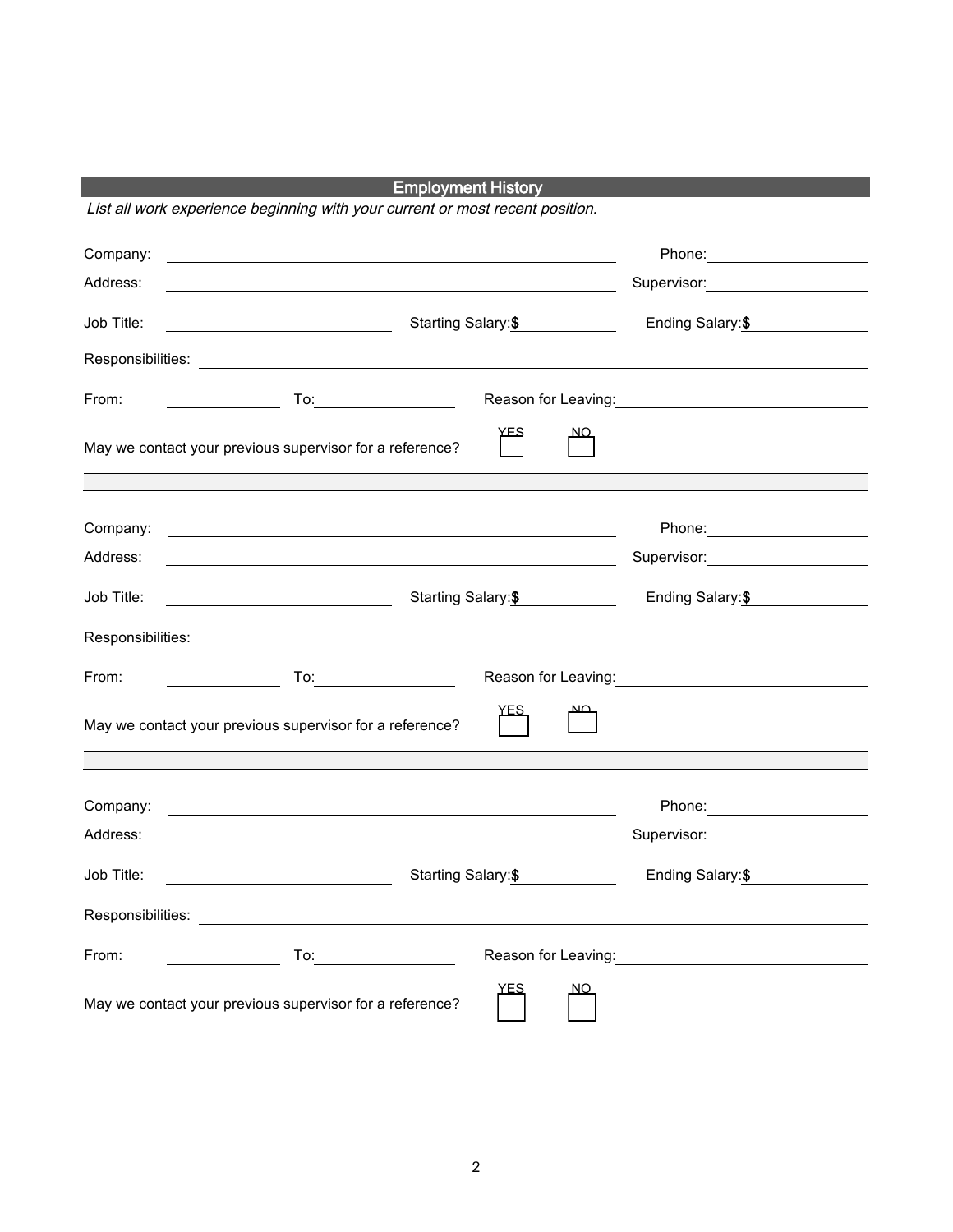## Employment History

List all work experience beginning with your current or most recent position.

| Company:   | <u> 1989 - Andrea Andrew Maria (h. 1989).</u>                                                                          |                                                                                                                                                                                                                               |
|------------|------------------------------------------------------------------------------------------------------------------------|-------------------------------------------------------------------------------------------------------------------------------------------------------------------------------------------------------------------------------|
| Address:   | <u> 1989 - Johann Barn, mars ann an t-Amhain Aonaichte ann an t-Aonaichte ann an t-Aonaichte ann an t-Aonaichte a</u>  | Supervisor: 2000                                                                                                                                                                                                              |
| Job Title: | Starting Salary:\$                                                                                                     | Ending Salary:\$<br><u>and the state of the sta</u>                                                                                                                                                                           |
|            |                                                                                                                        |                                                                                                                                                                                                                               |
| From:      |                                                                                                                        | Reason for Leaving: 1997                                                                                                                                                                                                      |
|            | May we contact your previous supervisor for a reference?                                                               |                                                                                                                                                                                                                               |
|            |                                                                                                                        |                                                                                                                                                                                                                               |
| Company:   | <u> 1989 - Johann Barn, fransk politik amerikansk politik (d. 1989)</u>                                                | Phone: 2000                                                                                                                                                                                                                   |
| Address:   | <u> 1989 - Johann Stoff, amerikansk politiker (* 1908)</u>                                                             | Supervisor: Victor Control of Control Control Control Control Control Control Control Control Control Control Co                                                                                                              |
| Job Title: | Starting Salary:\$                                                                                                     | Ending Salary:\$                                                                                                                                                                                                              |
|            |                                                                                                                        |                                                                                                                                                                                                                               |
| From:      | $\overline{a}$ To:                                                                                                     |                                                                                                                                                                                                                               |
|            | May we contact your previous supervisor for a reference?                                                               |                                                                                                                                                                                                                               |
|            |                                                                                                                        |                                                                                                                                                                                                                               |
| Company:   | <u> 1980 - Johann Barn, fransk politik formuler (d. 1980)</u>                                                          | Phone: Note and the set of the set of the set of the set of the set of the set of the set of the set of the set of the set of the set of the set of the set of the set of the set of the set of the set of the set of the set |
| Address:   | <u> 1989 - Johann Stoff, deutscher Stoffen und der Stoffen und der Stoffen und der Stoffen und der Stoffen und der</u> | Supervisor: <b>Example 2019</b>                                                                                                                                                                                               |
| Job Title: | Starting Salary:\$<br><u> 1980 - Johann Barbara, martin a</u>                                                          | Ending Salary:\$                                                                                                                                                                                                              |
|            |                                                                                                                        |                                                                                                                                                                                                                               |
| From:      |                                                                                                                        |                                                                                                                                                                                                                               |
|            | YES<br><u>NO</u><br>May we contact your previous supervisor for a reference?                                           |                                                                                                                                                                                                                               |